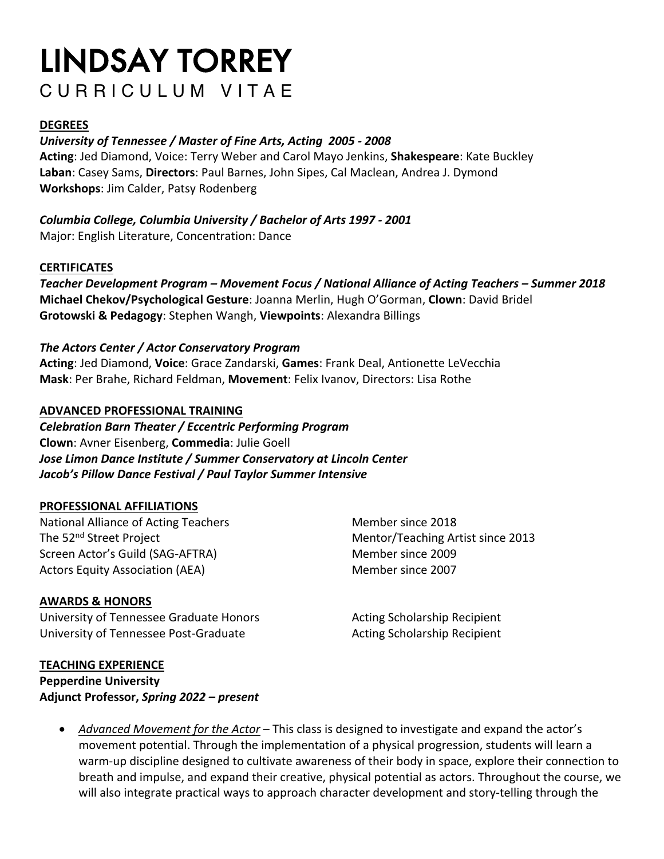# LINDSAY TORREY CURRICULUM VITAE

#### **DEGREES**

#### *University of Tennessee / Master of Fine Arts, Acting 2005 - 2008*

**Acting**: Jed Diamond, Voice: Terry Weber and Carol Mayo Jenkins, **Shakespeare**: Kate Buckley **Laban**: Casey Sams, **Directors**: Paul Barnes, John Sipes, Cal Maclean, Andrea J. Dymond **Workshops**: Jim Calder, Patsy Rodenberg

*Columbia College, Columbia University / Bachelor of Arts 1997 - 2001* Major: English Literature, Concentration: Dance

#### **CERTIFICATES**

*Teacher Development Program – Movement Focus / National Alliance of Acting Teachers – Summer 2018* **Michael Chekov/Psychological Gesture**: Joanna Merlin, Hugh O'Gorman, **Clown**: David Bridel **Grotowski & Pedagogy**: Stephen Wangh, **Viewpoints**: Alexandra Billings

#### *The Actors Center / Actor Conservatory Program*

**Acting**: Jed Diamond, **Voice**: Grace Zandarski, **Games**: Frank Deal, Antionette LeVecchia **Mask**: Per Brahe, Richard Feldman, **Movement**: Felix Ivanov, Directors: Lisa Rothe

#### **ADVANCED PROFESSIONAL TRAINING**

*Celebration Barn Theater / Eccentric Performing Program* **Clown**: Avner Eisenberg, **Commedia**: Julie Goell *Jose Limon Dance Institute / Summer Conservatory at Lincoln Center Jacob's Pillow Dance Festival / Paul Taylor Summer Intensive*

#### **PROFESSIONAL AFFILIATIONS**

National Alliance of Acting Teachers Member since 2018 The 52<sup>nd</sup> Street Project **Mentor/Teaching Artist since 2013** Screen Actor's Guild (SAG-AFTRA) Member since 2009 Actors Equity Association (AEA) Member since 2007

**AWARDS & HONORS**

University of Tennessee Graduate Honors **Acting Scholarship Recipient** University of Tennessee Post-Graduate Acting Scholarship Recipient

**TEACHING EXPERIENCE Pepperdine University Adjunct Professor,** *Spring 2022 – present*

• *Advanced Movement for the Actor* – This class is designed to investigate and expand the actor's movement potential. Through the implementation of a physical progression, students will learn a warm-up discipline designed to cultivate awareness of their body in space, explore their connection to breath and impulse, and expand their creative, physical potential as actors. Throughout the course, we will also integrate practical ways to approach character development and story-telling through the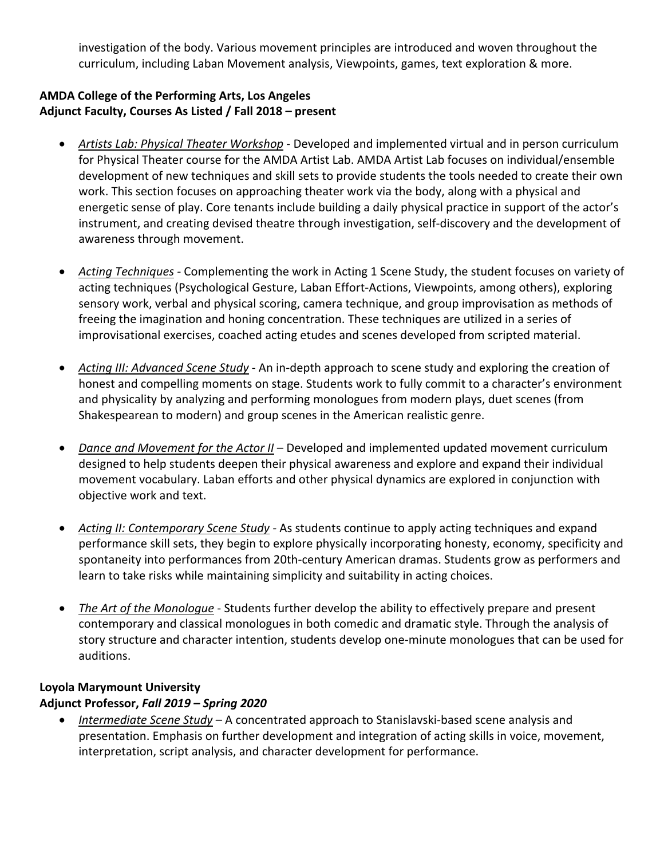investigation of the body. Various movement principles are introduced and woven throughout the curriculum, including Laban Movement analysis, Viewpoints, games, text exploration & more.

#### **AMDA College of the Performing Arts, Los Angeles Adjunct Faculty, Courses As Listed / Fall 2018 – present**

- *Artists Lab: Physical Theater Workshop* Developed and implemented virtual and in person curriculum for Physical Theater course for the AMDA Artist Lab. AMDA Artist Lab focuses on individual/ensemble development of new techniques and skill sets to provide students the tools needed to create their own work. This section focuses on approaching theater work via the body, along with a physical and energetic sense of play. Core tenants include building a daily physical practice in support of the actor's instrument, and creating devised theatre through investigation, self-discovery and the development of awareness through movement.
- *Acting Techniques -* Complementing the work in Acting 1 Scene Study, the student focuses on variety of acting techniques (Psychological Gesture, Laban Effort-Actions, Viewpoints, among others), exploring sensory work, verbal and physical scoring, camera technique, and group improvisation as methods of freeing the imagination and honing concentration. These techniques are utilized in a series of improvisational exercises, coached acting etudes and scenes developed from scripted material.
- *Acting III: Advanced Scene Study* An in-depth approach to scene study and exploring the creation of honest and compelling moments on stage. Students work to fully commit to a character's environment and physicality by analyzing and performing monologues from modern plays, duet scenes (from Shakespearean to modern) and group scenes in the American realistic genre.
- *Dance and Movement for the Actor II* Developed and implemented updated movement curriculum designed to help students deepen their physical awareness and explore and expand their individual movement vocabulary. Laban efforts and other physical dynamics are explored in conjunction with objective work and text.
- *Acting II: Contemporary Scene Study -* As students continue to apply acting techniques and expand performance skill sets, they begin to explore physically incorporating honesty, economy, specificity and spontaneity into performances from 20th-century American dramas. Students grow as performers and learn to take risks while maintaining simplicity and suitability in acting choices.
- *The Art of the Monologue* Students further develop the ability to effectively prepare and present contemporary and classical monologues in both comedic and dramatic style. Through the analysis of story structure and character intention, students develop one-minute monologues that can be used for auditions.

## **Loyola Marymount University**

#### **Adjunct Professor,** *Fall 2019 – Spring 2020*

• *Intermediate Scene Study* – A concentrated approach to Stanislavski-based scene analysis and presentation. Emphasis on further development and integration of acting skills in voice, movement, interpretation, script analysis, and character development for performance.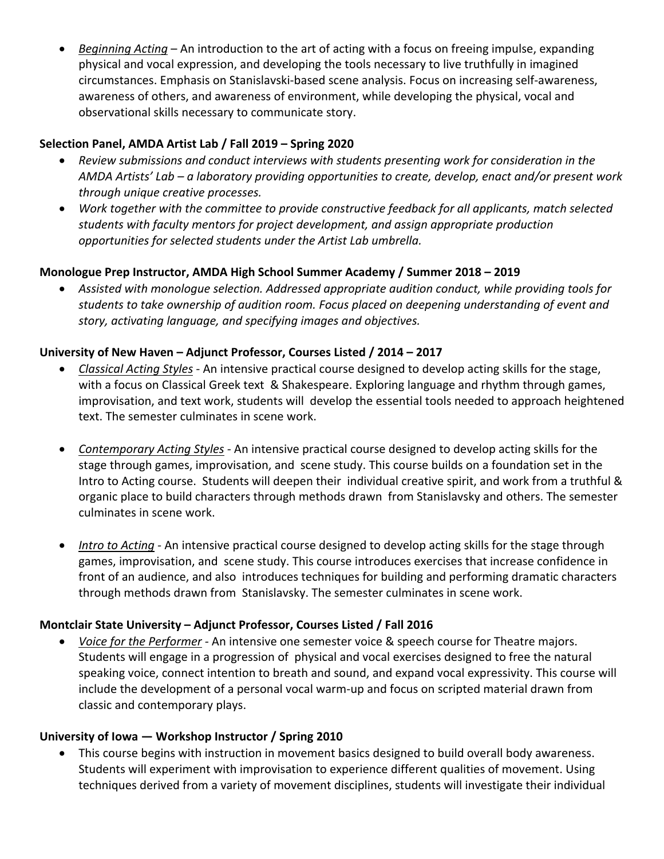• *Beginning Acting* – An introduction to the art of acting with a focus on freeing impulse, expanding physical and vocal expression, and developing the tools necessary to live truthfully in imagined circumstances. Emphasis on Stanislavski-based scene analysis. Focus on increasing self-awareness, awareness of others, and awareness of environment, while developing the physical, vocal and observational skills necessary to communicate story.

## **Selection Panel, AMDA Artist Lab / Fall 2019 – Spring 2020**

- *Review submissions and conduct interviews with students presenting work for consideration in the AMDA Artists' Lab – a laboratory providing opportunities to create, develop, enact and/or present work through unique creative processes.*
- *Work together with the committee to provide constructive feedback for all applicants, match selected students with faculty mentors for project development, and assign appropriate production opportunities for selected students under the Artist Lab umbrella.*

## **Monologue Prep Instructor, AMDA High School Summer Academy / Summer 2018 – 2019**

• *Assisted with monologue selection. Addressed appropriate audition conduct, while providing tools for students to take ownership of audition room. Focus placed on deepening understanding of event and story, activating language, and specifying images and objectives.*

## **University of New Haven – Adjunct Professor, Courses Listed / 2014 – 2017**

- *Classical Acting Styles -* An intensive practical course designed to develop acting skills for the stage, with a focus on Classical Greek text & Shakespeare. Exploring language and rhythm through games, improvisation, and text work, students will develop the essential tools needed to approach heightened text. The semester culminates in scene work.
- *Contemporary Acting Styles -* An intensive practical course designed to develop acting skills for the stage through games, improvisation, and scene study. This course builds on a foundation set in the Intro to Acting course. Students will deepen their individual creative spirit, and work from a truthful & organic place to build characters through methods drawn from Stanislavsky and others. The semester culminates in scene work.
- *Intro to Acting -* An intensive practical course designed to develop acting skills for the stage through games, improvisation, and scene study. This course introduces exercises that increase confidence in front of an audience, and also introduces techniques for building and performing dramatic characters through methods drawn from Stanislavsky. The semester culminates in scene work.

#### **Montclair State University – Adjunct Professor, Courses Listed / Fall 2016**

• *Voice for the Performer -* An intensive one semester voice & speech course for Theatre majors. Students will engage in a progression of physical and vocal exercises designed to free the natural speaking voice, connect intention to breath and sound, and expand vocal expressivity. This course will include the development of a personal vocal warm-up and focus on scripted material drawn from classic and contemporary plays.

#### **University of Iowa — Workshop Instructor / Spring 2010**

• This course begins with instruction in movement basics designed to build overall body awareness. Students will experiment with improvisation to experience different qualities of movement. Using techniques derived from a variety of movement disciplines, students will investigate their individual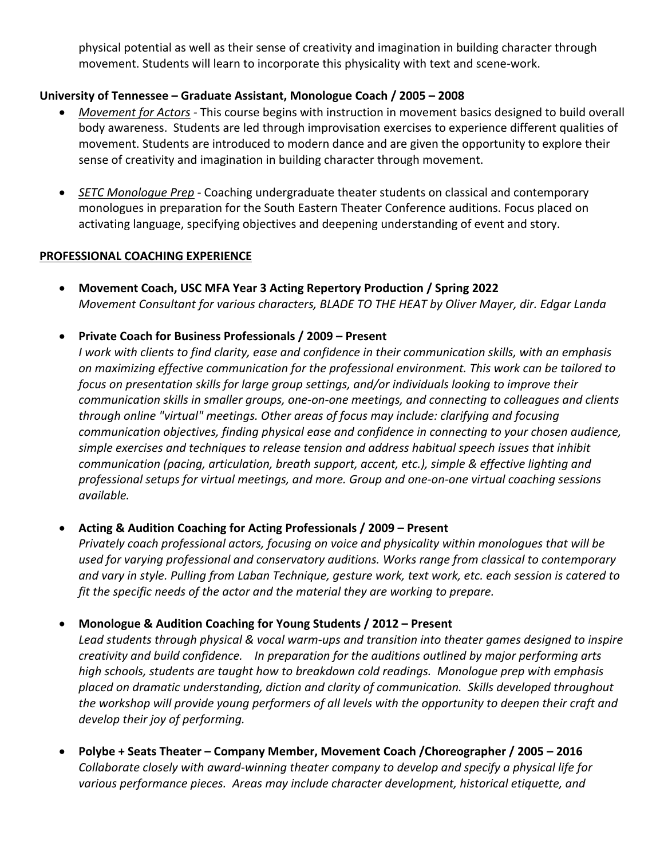physical potential as well as their sense of creativity and imagination in building character through movement. Students will learn to incorporate this physicality with text and scene-work.

#### **University of Tennessee – Graduate Assistant, Monologue Coach / 2005 – 2008**

- *Movement for Actors -* This course begins with instruction in movement basics designed to build overall body awareness. Students are led through improvisation exercises to experience different qualities of movement. Students are introduced to modern dance and are given the opportunity to explore their sense of creativity and imagination in building character through movement.
- *SETC Monologue Prep -* Coaching undergraduate theater students on classical and contemporary monologues in preparation for the South Eastern Theater Conference auditions. Focus placed on activating language, specifying objectives and deepening understanding of event and story.

#### **PROFESSIONAL COACHING EXPERIENCE**

• **Movement Coach, USC MFA Year 3 Acting Repertory Production / Spring 2022** *Movement Consultant for various characters, BLADE TO THE HEAT by Oliver Mayer, dir. Edgar Landa*

#### • **Private Coach for Business Professionals / 2009 – Present**

*I work with clients to find clarity, ease and confidence in their communication skills, with an emphasis on maximizing effective communication for the professional environment. This work can be tailored to focus on presentation skills for large group settings, and/or individuals looking to improve their communication skills in smaller groups, one-on-one meetings, and connecting to colleagues and clients through online "virtual" meetings. Other areas of focus may include: clarifying and focusing communication objectives, finding physical ease and confidence in connecting to your chosen audience, simple exercises and techniques to release tension and address habitual speech issues that inhibit communication (pacing, articulation, breath support, accent, etc.), simple & effective lighting and professional setups for virtual meetings, and more. Group and one-on-one virtual coaching sessions available.*

#### • **Acting & Audition Coaching for Acting Professionals / 2009 – Present**

*Privately coach professional actors, focusing on voice and physicality within monologues that will be used for varying professional and conservatory auditions. Works range from classical to contemporary and vary in style. Pulling from Laban Technique, gesture work, text work, etc. each session is catered to fit the specific needs of the actor and the material they are working to prepare.*

#### • **Monologue & Audition Coaching for Young Students / 2012 – Present**

*Lead students through physical & vocal warm-ups and transition into theater games designed to inspire creativity and build confidence. In preparation for the auditions outlined by major performing arts high schools, students are taught how to breakdown cold readings. Monologue prep with emphasis placed on dramatic understanding, diction and clarity of communication. Skills developed throughout the workshop will provide young performers of all levels with the opportunity to deepen their craft and develop their joy of performing.*

• **Polybe + Seats Theater – Company Member, Movement Coach /Choreographer / 2005 – 2016** *Collaborate closely with award-winning theater company to develop and specify a physical life for various performance pieces. Areas may include character development, historical etiquette, and*